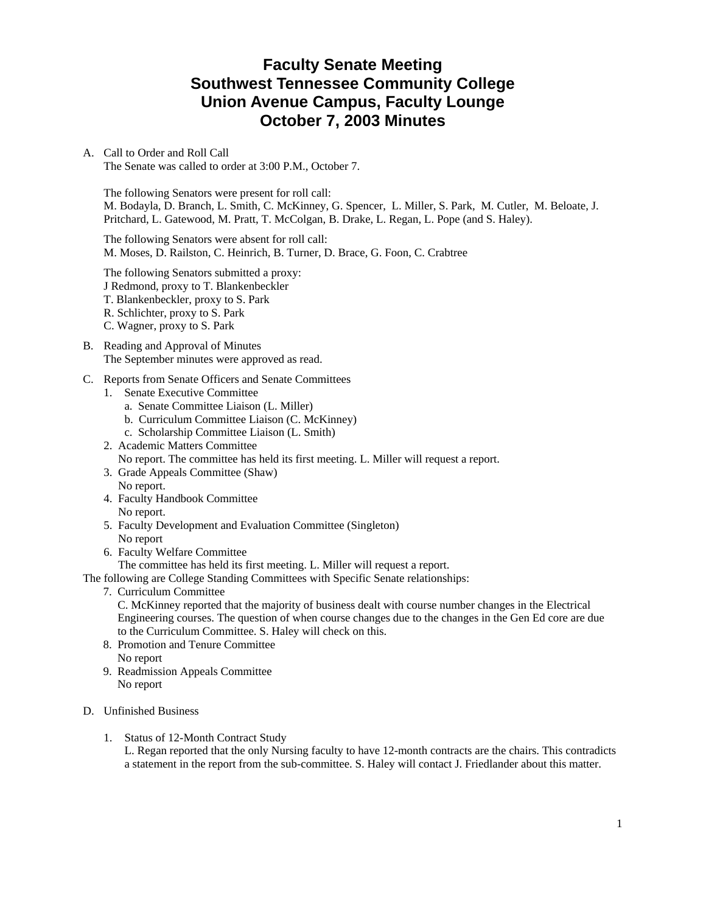# **Faculty Senate Meeting Southwest Tennessee Community College Union Avenue Campus, Faculty Lounge October 7, 2003 Minutes**

### A. Call to Order and Roll Call

The Senate was called to order at 3:00 P.M., October 7.

The following Senators were present for roll call: M. Bodayla, D. Branch, L. Smith, C. McKinney, G. Spencer, L. Miller, S. Park, M. Cutler, M. Beloate, J. Pritchard, L. Gatewood, M. Pratt, T. McColgan, B. Drake, L. Regan, L. Pope (and S. Haley).

The following Senators were absent for roll call: M. Moses, D. Railston, C. Heinrich, B. Turner, D. Brace, G. Foon, C. Crabtree

The following Senators submitted a proxy: J Redmond, proxy to T. Blankenbeckler T. Blankenbeckler, proxy to S. Park R. Schlichter, proxy to S. Park C. Wagner, proxy to S. Park

- B. Reading and Approval of Minutes The September minutes were approved as read.
- C. Reports from Senate Officers and Senate Committees
	- 1. Senate Executive Committee
		- a. Senate Committee Liaison (L. Miller)
		- b. Curriculum Committee Liaison (C. McKinney)
		- c. Scholarship Committee Liaison (L. Smith)
	- 2. Academic Matters Committee No report. The committee has held its first meeting. L. Miller will request a report.
	- 3. Grade Appeals Committee (Shaw) No report.
	- 4. Faculty Handbook Committee
		- No report.
	- 5. Faculty Development and Evaluation Committee (Singleton) No report
	- 6. Faculty Welfare Committee

The committee has held its first meeting. L. Miller will request a report.

The following are College Standing Committees with Specific Senate relationships:

7. Curriculum Committee

 C. McKinney reported that the majority of business dealt with course number changes in the Electrical Engineering courses. The question of when course changes due to the changes in the Gen Ed core are due to the Curriculum Committee. S. Haley will check on this.

- 8. Promotion and Tenure Committee No report
- 9. Readmission Appeals Committee No report
- D. Unfinished Business
	- 1. Status of 12-Month Contract Study

L. Regan reported that the only Nursing faculty to have 12-month contracts are the chairs. This contradicts a statement in the report from the sub-committee. S. Haley will contact J. Friedlander about this matter.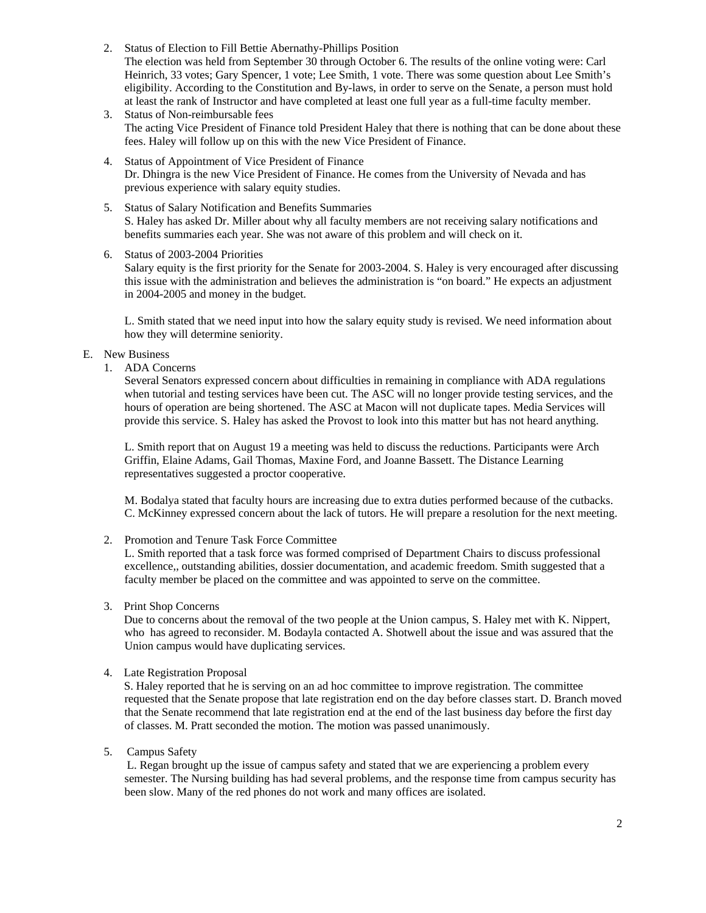- 2. Status of Election to Fill Bettie Abernathy-Phillips Position The election was held from September 30 through October 6. The results of the online voting were: Carl Heinrich, 33 votes; Gary Spencer, 1 vote; Lee Smith, 1 vote. There was some question about Lee Smith's eligibility. According to the Constitution and By-laws, in order to serve on the Senate, a person must hold at least the rank of Instructor and have completed at least one full year as a full-time faculty member.
- 3. Status of Non-reimbursable fees The acting Vice President of Finance told President Haley that there is nothing that can be done about these fees. Haley will follow up on this with the new Vice President of Finance.
- 4. Status of Appointment of Vice President of Finance Dr. Dhingra is the new Vice President of Finance. He comes from the University of Nevada and has previous experience with salary equity studies.
- 5. Status of Salary Notification and Benefits Summaries S. Haley has asked Dr. Miller about why all faculty members are not receiving salary notifications and benefits summaries each year. She was not aware of this problem and will check on it.
- 6. Status of 2003-2004 Priorities

Salary equity is the first priority for the Senate for 2003-2004. S. Haley is very encouraged after discussing this issue with the administration and believes the administration is "on board." He expects an adjustment in 2004-2005 and money in the budget.

L. Smith stated that we need input into how the salary equity study is revised. We need information about how they will determine seniority.

#### E. New Business

1. ADA Concerns

Several Senators expressed concern about difficulties in remaining in compliance with ADA regulations when tutorial and testing services have been cut. The ASC will no longer provide testing services, and the hours of operation are being shortened. The ASC at Macon will not duplicate tapes. Media Services will provide this service. S. Haley has asked the Provost to look into this matter but has not heard anything.

L. Smith report that on August 19 a meeting was held to discuss the reductions. Participants were Arch Griffin, Elaine Adams, Gail Thomas, Maxine Ford, and Joanne Bassett. The Distance Learning representatives suggested a proctor cooperative.

M. Bodalya stated that faculty hours are increasing due to extra duties performed because of the cutbacks. C. McKinney expressed concern about the lack of tutors. He will prepare a resolution for the next meeting.

#### 2. Promotion and Tenure Task Force Committee

L. Smith reported that a task force was formed comprised of Department Chairs to discuss professional excellence,, outstanding abilities, dossier documentation, and academic freedom. Smith suggested that a faculty member be placed on the committee and was appointed to serve on the committee.

#### 3. Print Shop Concerns

 Due to concerns about the removal of the two people at the Union campus, S. Haley met with K. Nippert, who has agreed to reconsider. M. Bodayla contacted A. Shotwell about the issue and was assured that the Union campus would have duplicating services.

### 4. Late Registration Proposal

 S. Haley reported that he is serving on an ad hoc committee to improve registration. The committee requested that the Senate propose that late registration end on the day before classes start. D. Branch moved that the Senate recommend that late registration end at the end of the last business day before the first day of classes. M. Pratt seconded the motion. The motion was passed unanimously.

5. Campus Safety

 L. Regan brought up the issue of campus safety and stated that we are experiencing a problem every semester. The Nursing building has had several problems, and the response time from campus security has been slow. Many of the red phones do not work and many offices are isolated.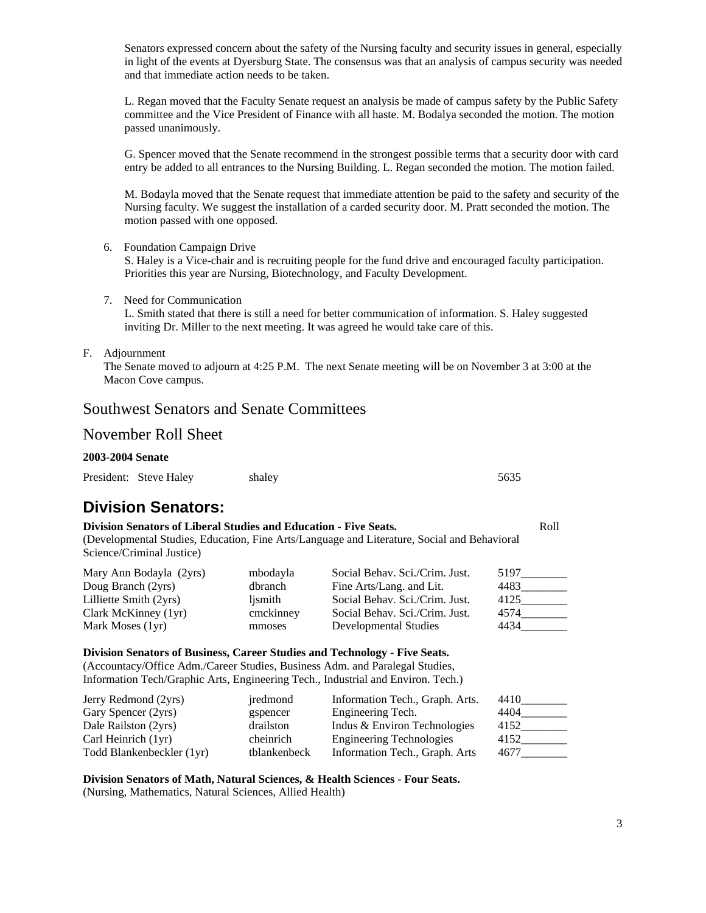Senators expressed concern about the safety of the Nursing faculty and security issues in general, especially in light of the events at Dyersburg State. The consensus was that an analysis of campus security was needed and that immediate action needs to be taken.

L. Regan moved that the Faculty Senate request an analysis be made of campus safety by the Public Safety committee and the Vice President of Finance with all haste. M. Bodalya seconded the motion. The motion passed unanimously.

G. Spencer moved that the Senate recommend in the strongest possible terms that a security door with card entry be added to all entrances to the Nursing Building. L. Regan seconded the motion. The motion failed.

M. Bodayla moved that the Senate request that immediate attention be paid to the safety and security of the Nursing faculty. We suggest the installation of a carded security door. M. Pratt seconded the motion. The motion passed with one opposed.

6. Foundation Campaign Drive

S. Haley is a Vice-chair and is recruiting people for the fund drive and encouraged faculty participation. Priorities this year are Nursing, Biotechnology, and Faculty Development.

7. Need for Communication L. Smith stated that there is still a need for better communication of information. S. Haley suggested inviting Dr. Miller to the next meeting. It was agreed he would take care of this.

#### F. Adjournment

The Senate moved to adjourn at 4:25 P.M. The next Senate meeting will be on November 3 at 3:00 at the Macon Cove campus.

## Southwest Senators and Senate Committees

### November Roll Sheet

#### **2003-2004 Senate**

| President: Steve Haley | shaley | 5635 |
|------------------------|--------|------|
|                        |        |      |

# **Division Senators:**

| <b>Division Senators of Liberal Studies and Education - Five Seats.</b>                     |  |  |  |
|---------------------------------------------------------------------------------------------|--|--|--|
| (Developmental Studies, Education, Fine Arts/Language and Literature, Social and Behavioral |  |  |  |

Science/Criminal Justice)

| Mary Ann Bodayla (2yrs)<br>Doug Branch (2yrs)<br>Lilliette Smith (2yrs)<br>Clark McKinney (1yr) | mbodayla<br>dbranch<br>lismith<br>cmckinney | Social Behav. Sci./Crim. Just.<br>Fine Arts/Lang. and Lit.<br>Social Behav. Sci./Crim. Just.<br>Social Behav. Sci./Crim. Just. | 5197<br>4483<br>4125<br>4574<br>4434 |
|-------------------------------------------------------------------------------------------------|---------------------------------------------|--------------------------------------------------------------------------------------------------------------------------------|--------------------------------------|
| Mark Moses (1yr)                                                                                | mmoses                                      | Developmental Studies                                                                                                          |                                      |

#### **Division Senators of Business, Career Studies and Technology - Five Seats.**

(Accountacy/Office Adm./Career Studies, Business Adm. and Paralegal Studies, Information Tech/Graphic Arts, Engineering Tech., Industrial and Environ. Tech.)

| Jerry Redmond (2yrs)      | iredmond     | Information Tech., Graph. Arts. | 4410 |
|---------------------------|--------------|---------------------------------|------|
| Gary Spencer (2yrs)       | gspencer     | Engineering Tech.               | 4404 |
| Dale Railston (2yrs)      | drailston    | Indus & Environ Technologies    | 4152 |
| Carl Heinrich (1yr)       | cheinrich    | <b>Engineering Technologies</b> | 4152 |
| Todd Blankenbeckler (1yr) | tblankenbeck | Information Tech., Graph. Arts  | 4677 |

**Division Senators of Math, Natural Sciences, & Health Sciences - Four Seats.**  (Nursing, Mathematics, Natural Sciences, Allied Health)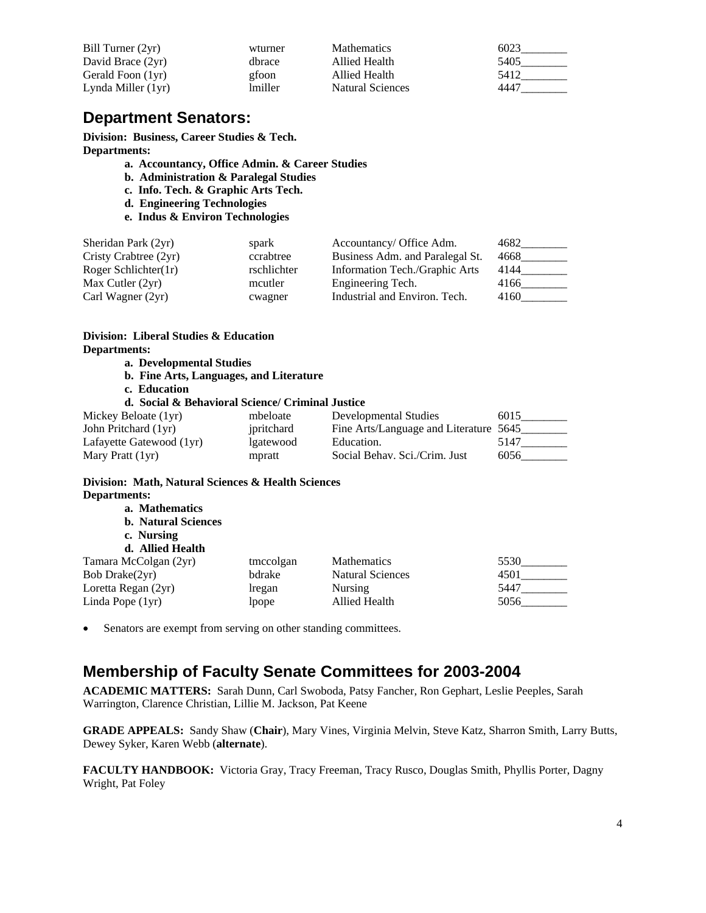| Bill Turner (2yr)  | wturner | <b>Mathematics</b>      | 6023 |
|--------------------|---------|-------------------------|------|
| David Brace (2yr)  | dhrace  | Allied Health           | 5405 |
| Gerald Foon (1yr)  | gfoon   | Allied Health           | 5412 |
| Lynda Miller (1yr) | lmiller | <b>Natural Sciences</b> | 4447 |

# **Department Senators:**

**Division: Business, Career Studies & Tech. Departments:** 

- **a. Accountancy, Office Admin. & Career Studies**
- **b. Administration & Paralegal Studies**
- **c. Info. Tech. & Graphic Arts Tech.**
- **d. Engineering Technologies**
- **e. Indus & Environ Technologies**

| Sheridan Park (2yr)   | spark       | Accountancy/ Office Adm.        | 4682 |
|-----------------------|-------------|---------------------------------|------|
| Cristy Crabtree (2yr) | ccrabtree   | Business Adm. and Paralegal St. | 4668 |
| Roger Schlichter(1r)  | rschlichter | Information Tech./Graphic Arts  | 4144 |
| Max Cutler $(2yr)$    | mcutler     | Engineering Tech.               | 4166 |
| Carl Wagner (2yr)     | cwagner     | Industrial and Environ. Tech.   | 4160 |

## **Division: Liberal Studies & Education Departments:**

- **a. Developmental Studies**
- **b. Fine Arts, Languages, and Literature**
- **c. Education**

#### **d. Social & Behavioral Science/ Criminal Justice**

| Mickey Beloate (1yr)     | mbeloate   | Developmental Studies                  | 6015 |
|--------------------------|------------|----------------------------------------|------|
| John Pritchard (1yr)     | ipritchard | Fine Arts/Language and Literature 5645 |      |
| Lafayette Gatewood (1yr) | lgatewood  | Education.                             | 5147 |
| Mary Pratt (1yr)         | mpratt     | Social Behav. Sci./Crim. Just          | 6056 |

### **Division: Math, Natural Sciences & Health Sciences Departments:**

| a. Mathematics<br><b>b.</b> Natural Sciences<br>c. Nursing |           |                         |      |
|------------------------------------------------------------|-----------|-------------------------|------|
| d. Allied Health                                           |           |                         |      |
| Tamara McColgan (2yr)                                      | tmccolgan | <b>Mathematics</b>      | 5530 |
| Bob Drake(2yr)                                             | bdrake    | <b>Natural Sciences</b> | 4501 |
| Loretta Regan (2yr)                                        | lregan    | <b>Nursing</b>          | 5447 |
| Linda Pope (1yr)                                           | lpope     | Allied Health           | 5056 |

• Senators are exempt from serving on other standing committees.

# **Membership of Faculty Senate Committees for 2003-2004**

**ACADEMIC MATTERS:** Sarah Dunn, Carl Swoboda, Patsy Fancher, Ron Gephart, Leslie Peeples, Sarah Warrington, Clarence Christian, Lillie M. Jackson, Pat Keene

**GRADE APPEALS:** Sandy Shaw (**Chair**), Mary Vines, Virginia Melvin, Steve Katz, Sharron Smith, Larry Butts, Dewey Syker, Karen Webb (**alternate**).

**FACULTY HANDBOOK:** Victoria Gray, Tracy Freeman, Tracy Rusco, Douglas Smith, Phyllis Porter, Dagny Wright, Pat Foley